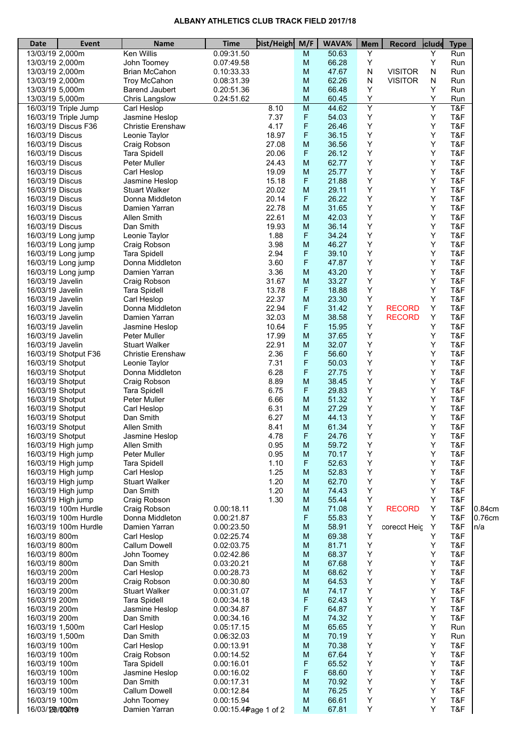## **ALBANY ATHLETICS CLUB TRACK FIELD 2017/18**

| <b>Date</b>                        | <b>Event</b>                             | <b>Name</b>                             | <b>Time</b>              | <b>Dist/Heigh</b> | M/F            | WAVA%          | <b>Mem</b>        | <b>Record</b>  | clude  | <b>Type</b> |        |
|------------------------------------|------------------------------------------|-----------------------------------------|--------------------------|-------------------|----------------|----------------|-------------------|----------------|--------|-------------|--------|
|                                    | 13/03/19 2,000m                          | <b>Ken Willis</b>                       | 0.09:31.50               |                   | M              | 50.63          | Y                 |                | Υ      | Run         |        |
| 13/03/19 2,000m                    |                                          | John Toomey                             | 0.07:49.58               |                   | M              | 66.28          | Υ                 |                | Υ      | Run         |        |
| 13/03/19 2,000m                    |                                          | <b>Brian McCahon</b>                    | 0.10:33.33               |                   | M              | 47.67          | N                 | <b>VISITOR</b> | N      | Run         |        |
| 13/03/19 2,000m                    |                                          | Troy McCahon                            | 0.08:31.39               |                   | M              | 62.26          | $\mathsf{N}$<br>Υ | <b>VISITOR</b> | N<br>Y | Run         |        |
| 13/03/19 5,000m                    |                                          | <b>Barend Jaubert</b><br>Chris Langslow | 0.20:51.36<br>0.24:51.62 |                   | M<br>M         | 66.48<br>60.45 | Υ                 |                | Υ      | Run<br>Run  |        |
|                                    | 13/03/19 5,000m<br>16/03/19 Triple Jump  | Carl Heslop                             |                          | 8.10              | $\overline{M}$ | 44.62          | $\overline{Y}$    |                | Y      | T&F         |        |
|                                    | 16/03/19 Triple Jump                     | Jasmine Heslop                          |                          | 7.37              | F              | 54.03          | Υ                 |                | Y      | T&F         |        |
|                                    | 16/03/19 Discus F36                      | Christie Erenshaw                       |                          | 4.17              | F              | 26.46          | Υ                 |                | Υ      | T&F         |        |
| 16/03/19 Discus                    |                                          | Leonie Taylor                           |                          | 18.97             | F              | 36.15          | Υ                 |                | Υ      | T&F         |        |
| 16/03/19 Discus                    |                                          | Craig Robson                            |                          | 27.08             | M              | 36.56          | Υ                 |                | Y      | T&F         |        |
| 16/03/19 Discus                    |                                          | <b>Tara Spidell</b>                     |                          | 20.06             | F              | 26.12          | Υ                 |                | Y      | T&F         |        |
| 16/03/19 Discus                    |                                          | <b>Peter Muller</b>                     |                          | 24.43             | м              | 62.77          | Υ                 |                | Y      | T&F         |        |
| 16/03/19 Discus                    |                                          | Carl Heslop                             |                          | 19.09             | M              | 25.77          | Υ                 |                | Υ      | T&F         |        |
| 16/03/19 Discus                    |                                          | Jasmine Heslop                          |                          | 15.18             | F              | 21.88          | Υ                 |                | Υ      | T&F         |        |
| 16/03/19 Discus                    |                                          | <b>Stuart Walker</b>                    |                          | 20.02             | M              | 29.11          | Υ                 |                | Υ      | T&F         |        |
| 16/03/19 Discus                    |                                          | Donna Middleton                         |                          | 20.14             | F              | 26.22          | Υ<br>Υ            |                | Y      | T&F         |        |
| 16/03/19 Discus<br>16/03/19 Discus |                                          | Damien Yarran<br>Allen Smith            |                          | 22.78<br>22.61    | M<br>M         | 31.65<br>42.03 | Υ                 |                | Y<br>Υ | T&F<br>T&F  |        |
| 16/03/19 Discus                    |                                          | Dan Smith                               |                          | 19.93             | M              | 36.14          | Υ                 |                | Y      | T&F         |        |
|                                    | 16/03/19 Long jump                       | Leonie Taylor                           |                          | 1.88              | F              | 34.24          | Υ                 |                | Υ      | T&F         |        |
|                                    | 16/03/19 Long jump                       | Craig Robson                            |                          | 3.98              | M              | 46.27          | Υ                 |                | Y      | T&F         |        |
|                                    | 16/03/19 Long jump                       | <b>Tara Spidell</b>                     |                          | 2.94              | F              | 39.10          | Υ                 |                | Y      | T&F         |        |
|                                    | 16/03/19 Long jump                       | Donna Middleton                         |                          | 3.60              | F              | 47.87          | Υ                 |                | Y      | T&F         |        |
|                                    | 16/03/19 Long jump                       | Damien Yarran                           |                          | 3.36              | M              | 43.20          | Υ                 |                | Υ      | T&F         |        |
| 16/03/19 Javelin                   |                                          | Craig Robson                            |                          | 31.67             | M              | 33.27          | Υ                 |                | Υ      | T&F         |        |
| 16/03/19 Javelin                   |                                          | <b>Tara Spidell</b>                     |                          | 13.78             | F              | 18.88          | Υ                 |                | Y      | T&F         |        |
| 16/03/19 Javelin                   |                                          | Carl Heslop                             |                          | 22.37             | M              | 23.30          | Υ                 |                | Y      | T&F         |        |
| 16/03/19 Javelin                   |                                          | Donna Middleton                         |                          | 22.94             | F              | 31.42          | Υ                 | <b>RECORD</b>  | Y      | T&F         |        |
| 16/03/19 Javelin                   |                                          | Damien Yarran                           |                          | 32.03             | M              | 38.58          | Υ                 | <b>RECORD</b>  | Y      | T&F         |        |
| 16/03/19 Javelin                   |                                          | Jasmine Heslop                          |                          | 10.64             | F              | 15.95          | Υ                 |                | Υ      | T&F         |        |
| 16/03/19 Javelin                   |                                          | <b>Peter Muller</b>                     |                          | 17.99             | M              | 37.65          | Υ                 |                | Y      | T&F         |        |
| 16/03/19 Javelin                   |                                          | Stuart Walker                           |                          | 22.91             | M              | 32.07          | Υ                 |                | Y      | T&F         |        |
|                                    | 16/03/19 Shotput F36                     | Christie Erenshaw                       |                          | 2.36              | F              | 56.60          | Υ<br>Υ            |                | Y      | T&F<br>T&F  |        |
|                                    | 16/03/19 Shotput<br>16/03/19 Shotput     | Leonie Taylor<br>Donna Middleton        |                          | 7.31<br>6.28      | F<br>F         | 50.03<br>27.75 | Υ                 |                | Y<br>Υ | T&F         |        |
|                                    | 16/03/19 Shotput                         | Craig Robson                            |                          | 8.89              | M              | 38.45          | Υ                 |                | Y      | T&F         |        |
|                                    | 16/03/19 Shotput                         | <b>Tara Spidell</b>                     |                          | 6.75              | F              | 29.83          | Υ                 |                | Y      | T&F         |        |
|                                    | 16/03/19 Shotput                         | <b>Peter Muller</b>                     |                          | 6.66              | м              | 51.32          | Υ                 |                | Υ      | T&F         |        |
|                                    | 16/03/19 Shotput                         | Carl Heslop                             |                          | 6.31              | M              | 27.29          | Υ                 |                | Y      | T&F         |        |
|                                    | 16/03/19 Shotput                         | Dan Smith                               |                          | 6.27              | M              | 44.13          | Υ                 |                | Υ      | T&F         |        |
|                                    | 16/03/19 Shotput                         | Allen Smith                             |                          | 8.41              | M              | 61.34          | Υ                 |                | Y      | T&F         |        |
|                                    | 16/03/19 Shotput                         | Jasmine Heslop                          |                          | 4.78              | F              | 24.76          | Υ                 |                | Y      | T&F         |        |
|                                    | 16/03/19 High jump                       | Allen Smith                             |                          | 0.95              | M              | 59.72          | Υ                 |                | Υ      | T&F         |        |
|                                    | 16/03/19 High jump                       | Peter Muller                            |                          | 0.95              | M              | 70.17          | Υ                 |                | Υ      | T&F         |        |
|                                    | 16/03/19 High jump                       | <b>Tara Spidell</b>                     |                          | 1.10              | F              | 52.63          | Υ                 |                | Υ      | T&F         |        |
|                                    | 16/03/19 High jump                       | Carl Heslop                             |                          | 1.25              | M              | 52.83          | Υ<br>Υ            |                | Y<br>Υ | T&F<br>T&F  |        |
|                                    | 16/03/19 High jump<br>16/03/19 High jump | <b>Stuart Walker</b><br>Dan Smith       |                          | 1.20<br>1.20      | M<br>M         | 62.70<br>74.43 | Υ                 |                | Υ      | T&F         |        |
|                                    | 16/03/19 High jump                       | Craig Robson                            |                          | 1.30              | M              | 55.44          | Υ                 |                | Y      | T&F         |        |
|                                    | 16/03/19 100m Hurdle                     | Craig Robson                            | 0.00:18.11               |                   | M              | 71.08          | Υ                 | <b>RECORD</b>  | Y      | T&F         | 0.84cm |
|                                    | 16/03/19 100m Hurdle                     | Donna Middleton                         | 0.00:21.87               |                   | F              | 55.83          | Υ                 |                | Y      | T&F         | 0.76cm |
|                                    | 16/03/19 100m Hurdle                     | Damien Yarran                           | 0.00:23.50               |                   | M              | 58.91          | Υ                 | corecct Heig   | Υ      | T&F         | n/a    |
| 16/03/19 800m                      |                                          | Carl Heslop                             | 0.02:25.74               |                   | M              | 69.38          | Y                 |                | Y      | T&F         |        |
| 16/03/19 800m                      |                                          | Callum Dowell                           | 0.02:03.75               |                   | M              | 81.71          | Υ                 |                | Y      | T&F         |        |
| 16/03/19 800m                      |                                          | John Toomey                             | 0.02:42.86               |                   | M              | 68.37          | Υ                 |                | Υ      | T&F         |        |
| 16/03/19 800m                      |                                          | Dan Smith                               | 0.03:20.21               |                   | M              | 67.68          | Υ                 |                | Y      | T&F         |        |
| 16/03/19 200m                      |                                          | Carl Heslop                             | 0.00:28.73               |                   | M              | 68.62          | Υ                 |                | Υ      | T&F         |        |
| 16/03/19 200m                      |                                          | Craig Robson                            | 0.00:30.80               |                   | M              | 64.53          | Υ                 |                | Y      | T&F         |        |
| 16/03/19 200m                      |                                          | <b>Stuart Walker</b>                    | 0.00:31.07               |                   | M              | 74.17          | Υ                 |                | Y      | T&F         |        |
| 16/03/19 200m<br>16/03/19 200m     |                                          | Tara Spidell                            | 0.00:34.18<br>0.00:34.87 |                   | F<br>F         | 62.43<br>64.87 | Υ<br>Υ            |                | Y<br>Y | T&F<br>T&F  |        |
| 16/03/19 200m                      |                                          | Jasmine Heslop<br>Dan Smith             | 0.00:34.16               |                   | M              | 74.32          | Υ                 |                | Υ      | T&F         |        |
| 16/03/19 1,500m                    |                                          | Carl Heslop                             | 0.05:17.15               |                   | M              | 65.65          | Υ                 |                | Y      | Run         |        |
| 16/03/19 1,500m                    |                                          | Dan Smith                               | 0.06:32.03               |                   | M              | 70.19          | Υ                 |                | Y      | Run         |        |
| 16/03/19 100m                      |                                          | Carl Heslop                             | 0.00:13.91               |                   | M              | 70.38          | Υ                 |                | Υ      | T&F         |        |
| 16/03/19 100m                      |                                          | Craig Robson                            | 0.00:14.52               |                   | M              | 67.64          | Υ                 |                | Y      | T&F         |        |
| 16/03/19 100m                      |                                          | <b>Tara Spidell</b>                     | 0.00:16.01               |                   | F              | 65.52          | Υ                 |                | Υ      | T&F         |        |
| 16/03/19 100m                      |                                          | Jasmine Heslop                          | 0.00:16.02               |                   | F              | 68.60          | Υ                 |                | Y      | T&F         |        |
| 16/03/19 100m                      |                                          | Dan Smith                               | 0.00:17.31               |                   | M              | 70.92          | Υ                 |                | Y      | T&F         |        |
| 16/03/19 100m                      |                                          | Callum Dowell                           | 0.00:12.84               |                   | M              | 76.25          | Υ                 |                | Υ      | T&F         |        |
| 16/03/19 100m                      |                                          | John Toomey                             | 0.00:15.94               |                   | M              | 66.61          | Υ                 |                | Υ      | T&F         |        |
| 16/03/290/03019                    |                                          | Damien Yarran                           | 0.00:15.4 Page 1 of 2    |                   | M              | 67.81          | Υ                 |                | Υ      | T&F         |        |